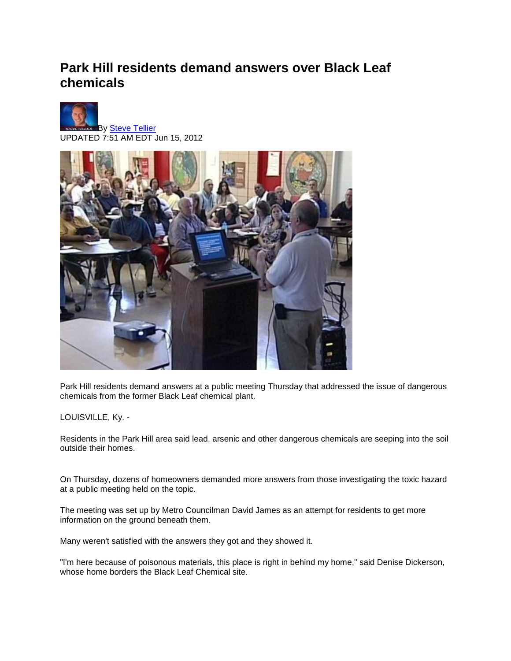## **Park Hill residents demand answers over Black Leaf chemicals**





Park Hill residents demand answers at a public meeting Thursday that addressed the issue of dangerous chemicals from the former Black Leaf chemical plant.

LOUISVILLE, Ky. -

Residents in the Park Hill area said lead, arsenic and other dangerous chemicals are seeping into the soil outside their homes.

On Thursday, dozens of homeowners demanded more answers from those investigating the toxic hazard at a public meeting held on the topic.

The meeting was set up by Metro Councilman David James as an attempt for residents to get more information on the ground beneath them.

Many weren't satisfied with the answers they got and they showed it.

"I'm here because of poisonous materials, this place is right in behind my home," said Denise Dickerson, whose home borders the Black Leaf Chemical site.